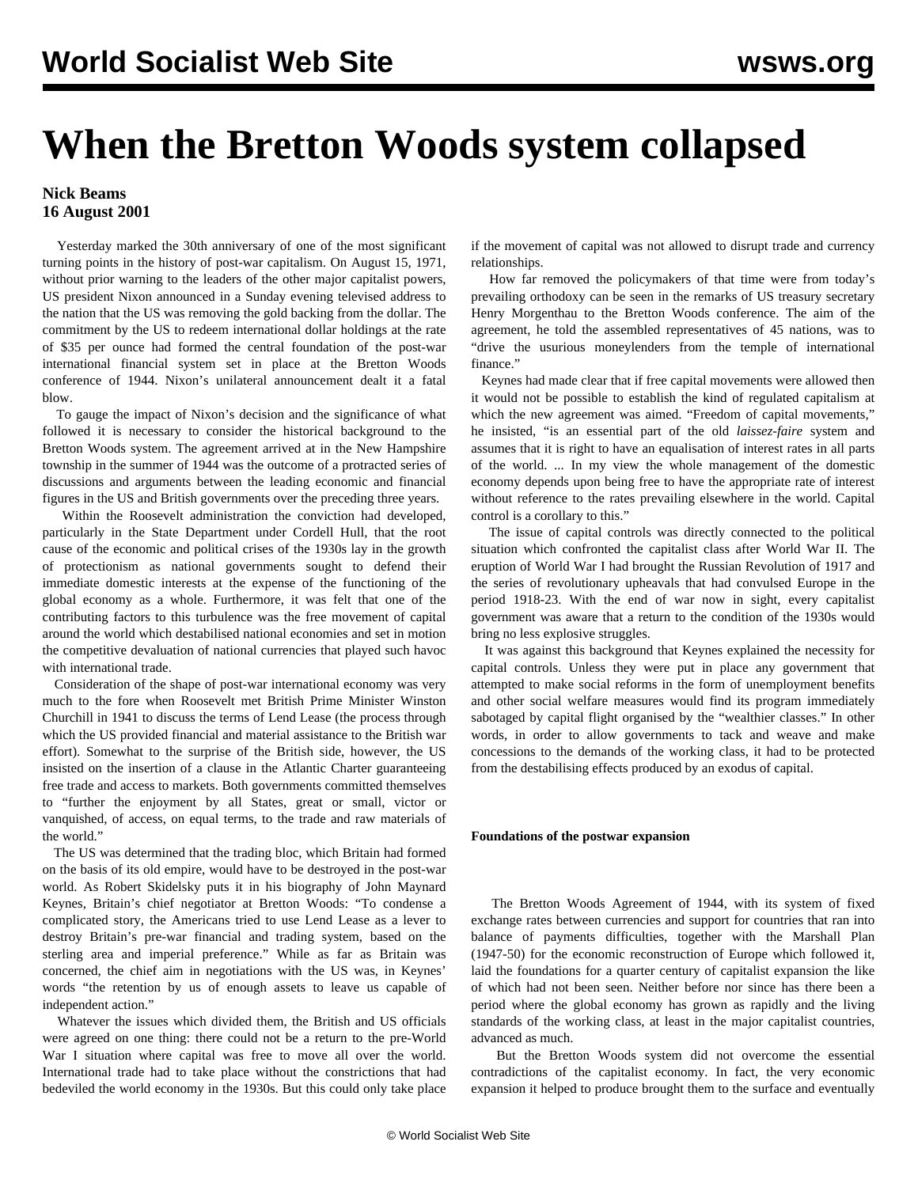# **When the Bretton Woods system collapsed**

### **Nick Beams 16 August 2001**

 Yesterday marked the 30th anniversary of one of the most significant turning points in the history of post-war capitalism. On August 15, 1971, without prior warning to the leaders of the other major capitalist powers, US president Nixon announced in a Sunday evening televised address to the nation that the US was removing the gold backing from the dollar. The commitment by the US to redeem international dollar holdings at the rate of \$35 per ounce had formed the central foundation of the post-war international financial system set in place at the Bretton Woods conference of 1944. Nixon's unilateral announcement dealt it a fatal blow.

 To gauge the impact of Nixon's decision and the significance of what followed it is necessary to consider the historical background to the Bretton Woods system. The agreement arrived at in the New Hampshire township in the summer of 1944 was the outcome of a protracted series of discussions and arguments between the leading economic and financial figures in the US and British governments over the preceding three years.

 Within the Roosevelt administration the conviction had developed, particularly in the State Department under Cordell Hull, that the root cause of the economic and political crises of the 1930s lay in the growth of protectionism as national governments sought to defend their immediate domestic interests at the expense of the functioning of the global economy as a whole. Furthermore, it was felt that one of the contributing factors to this turbulence was the free movement of capital around the world which destabilised national economies and set in motion the competitive devaluation of national currencies that played such havoc with international trade.

 Consideration of the shape of post-war international economy was very much to the fore when Roosevelt met British Prime Minister Winston Churchill in 1941 to discuss the terms of Lend Lease (the process through which the US provided financial and material assistance to the British war effort). Somewhat to the surprise of the British side, however, the US insisted on the insertion of a clause in the Atlantic Charter guaranteeing free trade and access to markets. Both governments committed themselves to "further the enjoyment by all States, great or small, victor or vanquished, of access, on equal terms, to the trade and raw materials of the world."

 The US was determined that the trading bloc, which Britain had formed on the basis of its old empire, would have to be destroyed in the post-war world. As Robert Skidelsky puts it in his biography of John Maynard Keynes, Britain's chief negotiator at Bretton Woods: "To condense a complicated story, the Americans tried to use Lend Lease as a lever to destroy Britain's pre-war financial and trading system, based on the sterling area and imperial preference." While as far as Britain was concerned, the chief aim in negotiations with the US was, in Keynes' words "the retention by us of enough assets to leave us capable of independent action."

 Whatever the issues which divided them, the British and US officials were agreed on one thing: there could not be a return to the pre-World War I situation where capital was free to move all over the world. International trade had to take place without the constrictions that had bedeviled the world economy in the 1930s. But this could only take place

if the movement of capital was not allowed to disrupt trade and currency relationships.

 How far removed the policymakers of that time were from today's prevailing orthodoxy can be seen in the remarks of US treasury secretary Henry Morgenthau to the Bretton Woods conference. The aim of the agreement, he told the assembled representatives of 45 nations, was to "drive the usurious moneylenders from the temple of international finance."

 Keynes had made clear that if free capital movements were allowed then it would not be possible to establish the kind of regulated capitalism at which the new agreement was aimed. "Freedom of capital movements," he insisted, "is an essential part of the old *laissez-faire* system and assumes that it is right to have an equalisation of interest rates in all parts of the world. ... In my view the whole management of the domestic economy depends upon being free to have the appropriate rate of interest without reference to the rates prevailing elsewhere in the world. Capital control is a corollary to this."

 The issue of capital controls was directly connected to the political situation which confronted the capitalist class after World War II. The eruption of World War I had brought the Russian Revolution of 1917 and the series of revolutionary upheavals that had convulsed Europe in the period 1918-23. With the end of war now in sight, every capitalist government was aware that a return to the condition of the 1930s would bring no less explosive struggles.

 It was against this background that Keynes explained the necessity for capital controls. Unless they were put in place any government that attempted to make social reforms in the form of unemployment benefits and other social welfare measures would find its program immediately sabotaged by capital flight organised by the "wealthier classes." In other words, in order to allow governments to tack and weave and make concessions to the demands of the working class, it had to be protected from the destabilising effects produced by an exodus of capital.

#### **Foundations of the postwar expansion**

 The Bretton Woods Agreement of 1944, with its system of fixed exchange rates between currencies and support for countries that ran into balance of payments difficulties, together with the Marshall Plan (1947-50) for the economic reconstruction of Europe which followed it, laid the foundations for a quarter century of capitalist expansion the like of which had not been seen. Neither before nor since has there been a period where the global economy has grown as rapidly and the living standards of the working class, at least in the major capitalist countries, advanced as much.

 But the Bretton Woods system did not overcome the essential contradictions of the capitalist economy. In fact, the very economic expansion it helped to produce brought them to the surface and eventually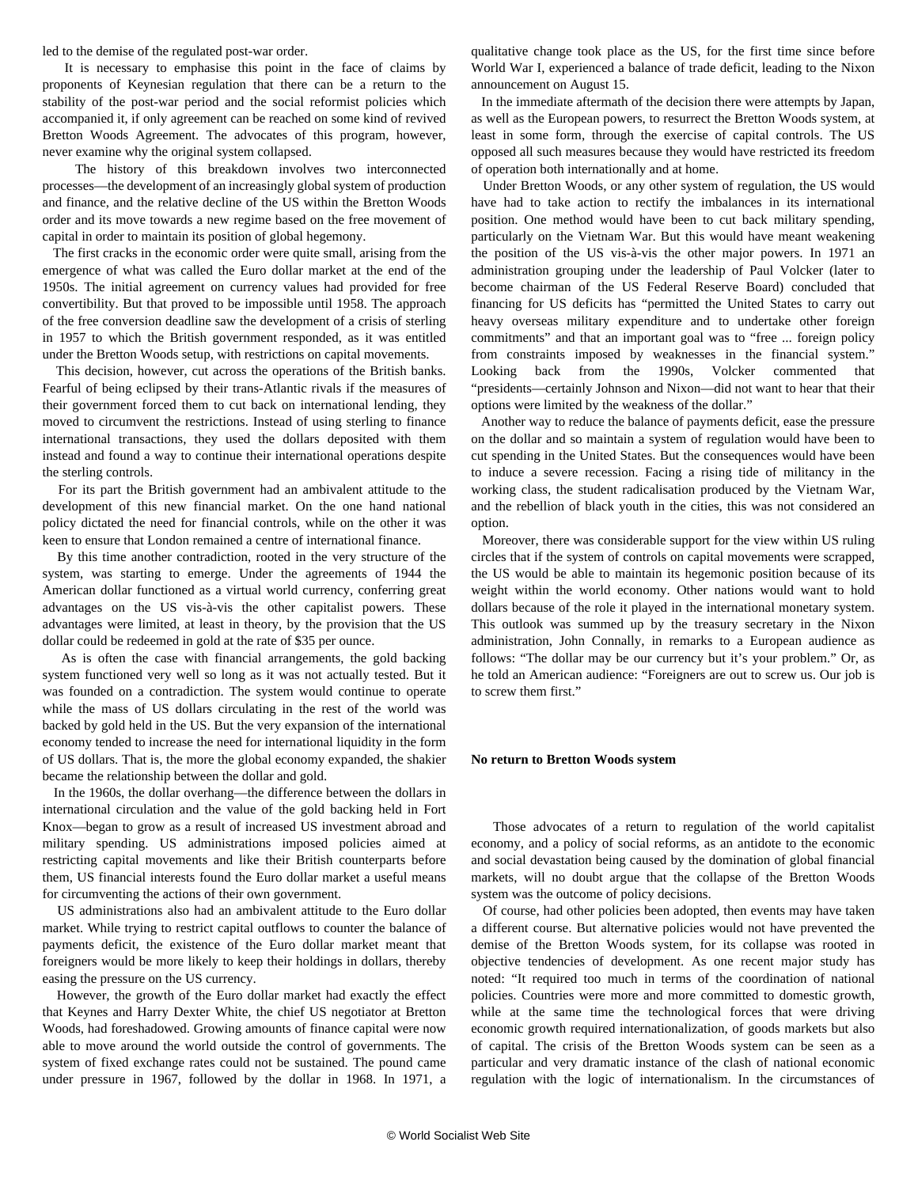led to the demise of the regulated post-war order.

 It is necessary to emphasise this point in the face of claims by proponents of Keynesian regulation that there can be a return to the stability of the post-war period and the social reformist policies which accompanied it, if only agreement can be reached on some kind of revived Bretton Woods Agreement. The advocates of this program, however, never examine why the original system collapsed.

 The history of this breakdown involves two interconnected processes—the development of an increasingly global system of production and finance, and the relative decline of the US within the Bretton Woods order and its move towards a new regime based on the free movement of capital in order to maintain its position of global hegemony.

 The first cracks in the economic order were quite small, arising from the emergence of what was called the Euro dollar market at the end of the 1950s. The initial agreement on currency values had provided for free convertibility. But that proved to be impossible until 1958. The approach of the free conversion deadline saw the development of a crisis of sterling in 1957 to which the British government responded, as it was entitled under the Bretton Woods setup, with restrictions on capital movements.

 This decision, however, cut across the operations of the British banks. Fearful of being eclipsed by their trans-Atlantic rivals if the measures of their government forced them to cut back on international lending, they moved to circumvent the restrictions. Instead of using sterling to finance international transactions, they used the dollars deposited with them instead and found a way to continue their international operations despite the sterling controls.

 For its part the British government had an ambivalent attitude to the development of this new financial market. On the one hand national policy dictated the need for financial controls, while on the other it was keen to ensure that London remained a centre of international finance.

 By this time another contradiction, rooted in the very structure of the system, was starting to emerge. Under the agreements of 1944 the American dollar functioned as a virtual world currency, conferring great advantages on the US vis-à-vis the other capitalist powers. These advantages were limited, at least in theory, by the provision that the US dollar could be redeemed in gold at the rate of \$35 per ounce.

 As is often the case with financial arrangements, the gold backing system functioned very well so long as it was not actually tested. But it was founded on a contradiction. The system would continue to operate while the mass of US dollars circulating in the rest of the world was backed by gold held in the US. But the very expansion of the international economy tended to increase the need for international liquidity in the form of US dollars. That is, the more the global economy expanded, the shakier became the relationship between the dollar and gold.

 In the 1960s, the dollar overhang—the difference between the dollars in international circulation and the value of the gold backing held in Fort Knox—began to grow as a result of increased US investment abroad and military spending. US administrations imposed policies aimed at restricting capital movements and like their British counterparts before them, US financial interests found the Euro dollar market a useful means for circumventing the actions of their own government.

 US administrations also had an ambivalent attitude to the Euro dollar market. While trying to restrict capital outflows to counter the balance of payments deficit, the existence of the Euro dollar market meant that foreigners would be more likely to keep their holdings in dollars, thereby easing the pressure on the US currency.

 However, the growth of the Euro dollar market had exactly the effect that Keynes and Harry Dexter White, the chief US negotiator at Bretton Woods, had foreshadowed. Growing amounts of finance capital were now able to move around the world outside the control of governments. The system of fixed exchange rates could not be sustained. The pound came under pressure in 1967, followed by the dollar in 1968. In 1971, a

qualitative change took place as the US, for the first time since before World War I, experienced a balance of trade deficit, leading to the Nixon announcement on August 15.

 In the immediate aftermath of the decision there were attempts by Japan, as well as the European powers, to resurrect the Bretton Woods system, at least in some form, through the exercise of capital controls. The US opposed all such measures because they would have restricted its freedom of operation both internationally and at home.

 Under Bretton Woods, or any other system of regulation, the US would have had to take action to rectify the imbalances in its international position. One method would have been to cut back military spending, particularly on the Vietnam War. But this would have meant weakening the position of the US vis-à-vis the other major powers. In 1971 an administration grouping under the leadership of Paul Volcker (later to become chairman of the US Federal Reserve Board) concluded that financing for US deficits has "permitted the United States to carry out heavy overseas military expenditure and to undertake other foreign commitments" and that an important goal was to "free ... foreign policy from constraints imposed by weaknesses in the financial system." Looking back from the 1990s, Volcker commented that "presidents—certainly Johnson and Nixon—did not want to hear that their options were limited by the weakness of the dollar."

 Another way to reduce the balance of payments deficit, ease the pressure on the dollar and so maintain a system of regulation would have been to cut spending in the United States. But the consequences would have been to induce a severe recession. Facing a rising tide of militancy in the working class, the student radicalisation produced by the Vietnam War, and the rebellion of black youth in the cities, this was not considered an option.

 Moreover, there was considerable support for the view within US ruling circles that if the system of controls on capital movements were scrapped, the US would be able to maintain its hegemonic position because of its weight within the world economy. Other nations would want to hold dollars because of the role it played in the international monetary system. This outlook was summed up by the treasury secretary in the Nixon administration, John Connally, in remarks to a European audience as follows: "The dollar may be our currency but it's your problem." Or, as he told an American audience: "Foreigners are out to screw us. Our job is to screw them first."

#### **No return to Bretton Woods system**

 Those advocates of a return to regulation of the world capitalist economy, and a policy of social reforms, as an antidote to the economic and social devastation being caused by the domination of global financial markets, will no doubt argue that the collapse of the Bretton Woods system was the outcome of policy decisions.

 Of course, had other policies been adopted, then events may have taken a different course. But alternative policies would not have prevented the demise of the Bretton Woods system, for its collapse was rooted in objective tendencies of development. As one recent major study has noted: "It required too much in terms of the coordination of national policies. Countries were more and more committed to domestic growth, while at the same time the technological forces that were driving economic growth required internationalization, of goods markets but also of capital. The crisis of the Bretton Woods system can be seen as a particular and very dramatic instance of the clash of national economic regulation with the logic of internationalism. In the circumstances of